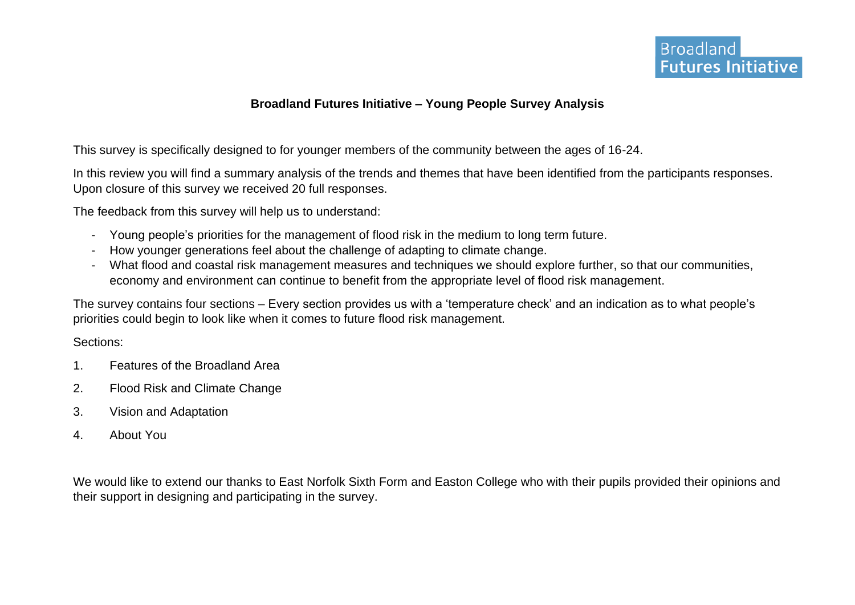# **Broadland Futures Initiative – Young People Survey Analysis**

This survey is specifically designed to for younger members of the community between the ages of 16-24.

In this review you will find a summary analysis of the trends and themes that have been identified from the participants responses. Upon closure of this survey we received 20 full responses.

The feedback from this survey will help us to understand:

- Young people's priorities for the management of flood risk in the medium to long term future.
- How younger generations feel about the challenge of adapting to climate change.
- What flood and coastal risk management measures and techniques we should explore further, so that our communities, economy and environment can continue to benefit from the appropriate level of flood risk management.

The survey contains four sections – Every section provides us with a 'temperature check' and an indication as to what people's priorities could begin to look like when it comes to future flood risk management.

### Sections:

- 1. Features of the Broadland Area
- 2. Flood Risk and Climate Change
- 3. Vision and Adaptation
- 4. About You

We would like to extend our thanks to East Norfolk Sixth Form and Easton College who with their pupils provided their opinions and their support in designing and participating in the survey.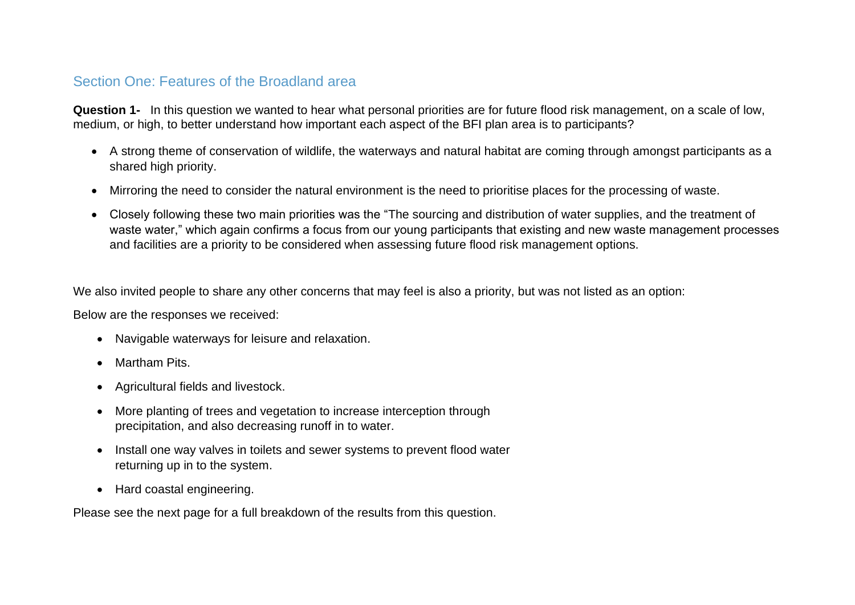# Section One: Features of the Broadland area

**Question 1-** In this question we wanted to hear what personal priorities are for future flood risk management, on a scale of low, medium, or high, to better understand how important each aspect of the BFI plan area is to participants?

- A strong theme of conservation of wildlife, the waterways and natural habitat are coming through amongst participants as a shared high priority.
- Mirroring the need to consider the natural environment is the need to prioritise places for the processing of waste.
- Closely following these two main priorities was the "The sourcing and distribution of water supplies, and the treatment of waste water," which again confirms a focus from our young participants that existing and new waste management processes and facilities are a priority to be considered when assessing future flood risk management options.

We also invited people to share any other concerns that may feel is also a priority, but was not listed as an option:

Below are the responses we received:

- Navigable waterways for leisure and relaxation.
- Martham Pits.
- Agricultural fields and livestock.
- More planting of trees and vegetation to increase interception through precipitation, and also decreasing runoff in to water.
- Install one way valves in toilets and sewer systems to prevent flood water returning up in to the system.
- Hard coastal engineering.

Please see the next page for a full breakdown of the results from this question.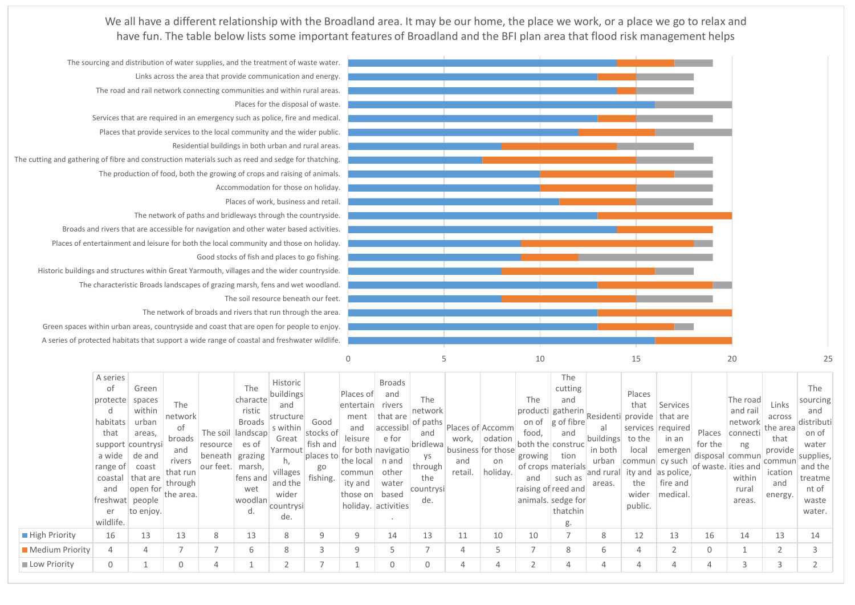We all have a different relationship with the Broadland area. It may be our home, the place we work, or a place we go to relax and have fun. The table below lists some important features of Broadland and the BFI plan area that flood risk management helps



|                      | A series<br>of<br>protecte<br>d<br>habitats<br>that<br>a wide<br>range of<br>coastal<br>and<br>freshwat people | Green<br>spaces<br>within<br>urban<br>areas,<br>support countrysi<br>de and<br>coast<br>that are<br>open for | The<br>network<br>of<br>broads<br>and<br>rivers<br>that run<br>through<br>the area. | resource es of<br>beneath grazing<br>our feet.   marsh, | The<br>characte<br>ristic  <br>Broads<br>The soil landscap<br>fens and<br>wet<br>woodlan | Historic<br>buildings<br>and<br>structure<br>s within<br>$\frac{1}{2}$ $\frac{1}{2}$ $\frac{1}{2}$ $\frac{1}{2}$ $\frac{1}{2}$ $\frac{1}{2}$ $\frac{1}{2}$ for both $\frac{1}{2}$ navigatio <sup>n</sup> .<br>$\frac{1}{2}$ $\frac{1}{2}$ $\frac{1}{2}$ $\frac{1}{2}$ $\frac{1}{2}$ $\frac{1}{2}$ $\frac{1}{2}$ $\frac{1}{2}$ $\frac{1}{2}$ $\frac{1}{2}$ $\frac{1}{2}$ $\frac{1}{2}$ $\frac{1}{2}$ $\frac{1}{2}$ $\frac{1}{2}$ $\frac{1}{2}$ $\frac{1}{2}$ $\frac{1}{2}$ $\frac{1}{2}$ $\frac{1}{2}$ $\frac{1}{2}$ $\frac{1}{2}$<br>villages<br>and the<br>wider<br>countrysi | Good<br>stocks of<br>go<br>fishing. | Places of<br>entertain<br>ment<br>and<br>commun<br>ity and<br>those on | <b>Broads</b><br>and<br>rivers<br>that are<br>accessibl<br>n and<br>other<br>water<br>based | The<br>network<br>of paths<br>and<br>bridlewa<br>ys<br>through<br>the<br>countrysi<br>de. | and<br>retail. | Places of Accomm<br>work, odation<br>business for those<br>on<br>holiday. | The<br>food,<br>both the construc<br>growing tion<br>and<br>raising of reed and<br>animals. sedge for | The<br>cutting<br>and<br>$\boxed{\textsf{producti}} \textsf{gatherin} \textsf{Residenti} \textsf{provided} \textsf{that are}$<br>on of g of fibre<br>al<br>and<br>buildings to the<br>in both<br>of crops materials<br>$\frac{1}{2}$ and rural ity and as police,<br>such as<br>areas. | Places<br>that<br>local<br>urban commun cy such<br>the<br>wider | Services<br>services required<br>in an<br>emergen<br>fire and<br>medical. | Places<br>for the<br>disposal commun<br>of waste. ities and | The road<br>and rail<br>network<br>connecti<br>ng<br>within<br>rural<br>areas. | Links<br>the area<br>that<br>provide<br>commun<br>ication<br>and<br>energy. | The<br>sourcing<br>and<br>$\sim$ across distributi<br>on of<br>water<br>supplies,<br>and the<br>treatme<br>nt of<br>waste |        |
|----------------------|----------------------------------------------------------------------------------------------------------------|--------------------------------------------------------------------------------------------------------------|-------------------------------------------------------------------------------------|---------------------------------------------------------|------------------------------------------------------------------------------------------|--------------------------------------------------------------------------------------------------------------------------------------------------------------------------------------------------------------------------------------------------------------------------------------------------------------------------------------------------------------------------------------------------------------------------------------------------------------------------------------------------------------------------------------------------------------------------------|-------------------------------------|------------------------------------------------------------------------|---------------------------------------------------------------------------------------------|-------------------------------------------------------------------------------------------|----------------|---------------------------------------------------------------------------|-------------------------------------------------------------------------------------------------------|----------------------------------------------------------------------------------------------------------------------------------------------------------------------------------------------------------------------------------------------------------------------------------------|-----------------------------------------------------------------|---------------------------------------------------------------------------|-------------------------------------------------------------|--------------------------------------------------------------------------------|-----------------------------------------------------------------------------|---------------------------------------------------------------------------------------------------------------------------|--------|
|                      | er<br>wildlife.                                                                                                | to enjoy.                                                                                                    |                                                                                     |                                                         | d.                                                                                       | de.                                                                                                                                                                                                                                                                                                                                                                                                                                                                                                                                                                            |                                     |                                                                        | holiday. activities                                                                         |                                                                                           |                |                                                                           |                                                                                                       | thatchin<br>g.                                                                                                                                                                                                                                                                         |                                                                 | public.                                                                   |                                                             |                                                                                |                                                                             |                                                                                                                           | water. |
| <b>High Priority</b> | 16                                                                                                             | 13                                                                                                           | 13                                                                                  | 8                                                       | 13                                                                                       | 8                                                                                                                                                                                                                                                                                                                                                                                                                                                                                                                                                                              |                                     | 9                                                                      | 14                                                                                          | 13                                                                                        | 11             | 10                                                                        | 10                                                                                                    |                                                                                                                                                                                                                                                                                        | 8                                                               | 12                                                                        | 13                                                          | 16                                                                             | 14                                                                          | 13                                                                                                                        | 14     |
| Medium Priority      | 4                                                                                                              | $\overline{4}$                                                                                               |                                                                                     | $\rightarrow$                                           | 6                                                                                        | 8                                                                                                                                                                                                                                                                                                                                                                                                                                                                                                                                                                              |                                     | 9                                                                      |                                                                                             |                                                                                           | 4              |                                                                           | $\overline{\phantom{a}}$                                                                              | 8                                                                                                                                                                                                                                                                                      | 6                                                               | $\overline{4}$                                                            |                                                             |                                                                                |                                                                             |                                                                                                                           |        |
| Low Priority         | $\mathbf 0$                                                                                                    |                                                                                                              |                                                                                     | 4                                                       |                                                                                          |                                                                                                                                                                                                                                                                                                                                                                                                                                                                                                                                                                                |                                     |                                                                        | 0                                                                                           | 0                                                                                         | $\overline{4}$ | 4                                                                         |                                                                                                       | 4                                                                                                                                                                                                                                                                                      | 4                                                               | $\overline{4}$                                                            |                                                             |                                                                                | 3                                                                           | 3                                                                                                                         |        |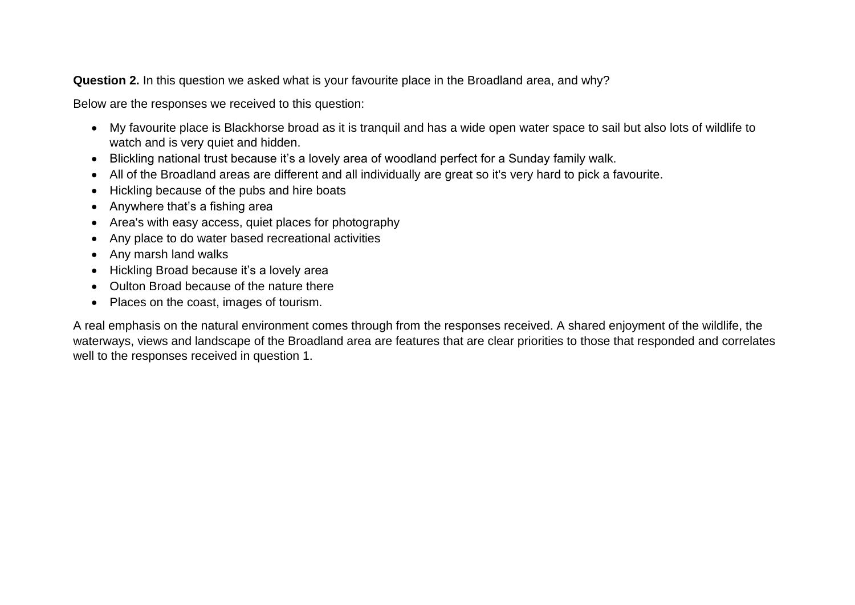**Question 2.** In this question we asked what is your favourite place in the Broadland area, and why?

Below are the responses we received to this question:

- My favourite place is Blackhorse broad as it is tranquil and has a wide open water space to sail but also lots of wildlife to watch and is very quiet and hidden.
- Blickling national trust because it's a lovely area of woodland perfect for a Sunday family walk.
- All of the Broadland areas are different and all individually are great so it's very hard to pick a favourite.
- Hickling because of the pubs and hire boats
- Anywhere that's a fishing area
- Area's with easy access, quiet places for photography
- Any place to do water based recreational activities
- Any marsh land walks
- Hickling Broad because it's a lovely area
- Oulton Broad because of the nature there
- Places on the coast, images of tourism.

A real emphasis on the natural environment comes through from the responses received. A shared enjoyment of the wildlife, the waterways, views and landscape of the Broadland area are features that are clear priorities to those that responded and correlates well to the responses received in question 1.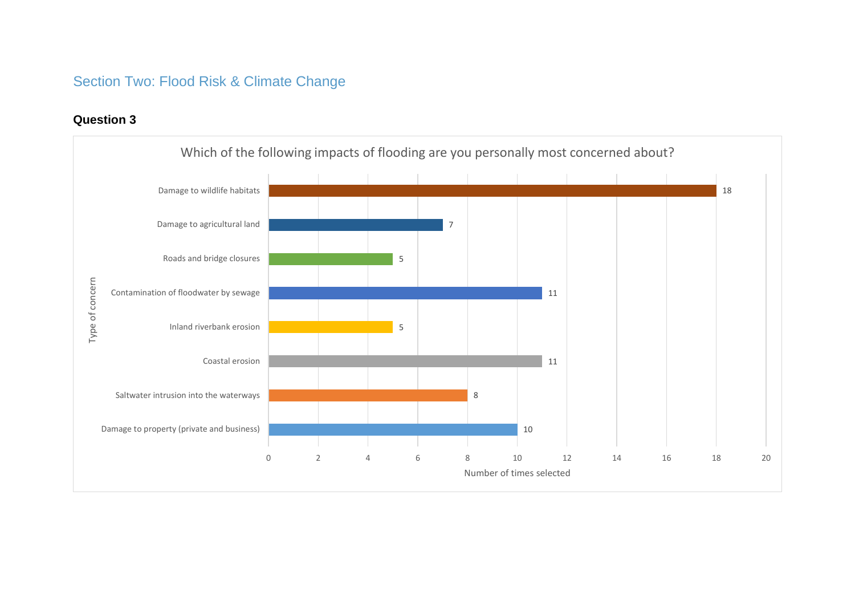# Section Two: Flood Risk & Climate Change

# **Question 3**

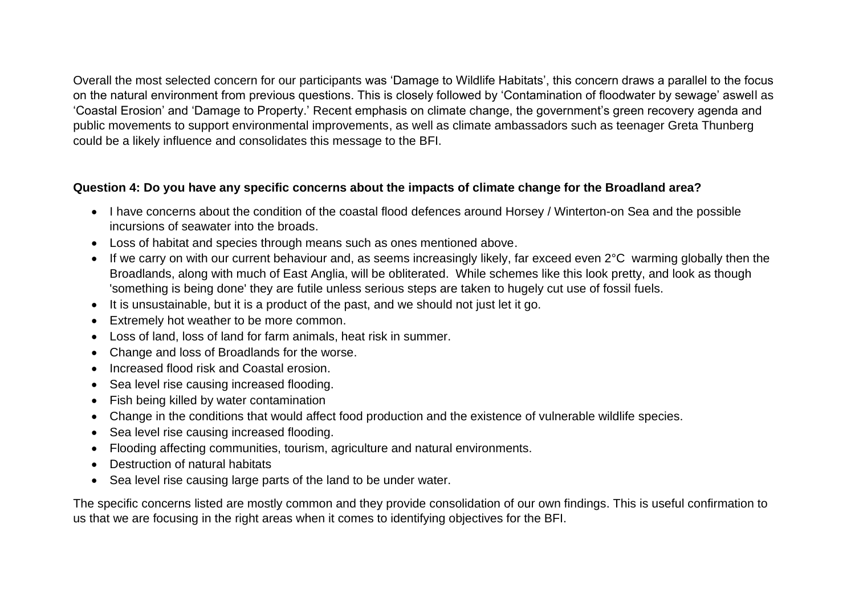Overall the most selected concern for our participants was 'Damage to Wildlife Habitats', this concern draws a parallel to the focus on the natural environment from previous questions. This is closely followed by 'Contamination of floodwater by sewage' aswell as 'Coastal Erosion' and 'Damage to Property.' Recent emphasis on climate change, the government's green recovery agenda and public movements to support environmental improvements, as well as climate ambassadors such as teenager Greta Thunberg could be a likely influence and consolidates this message to the BFI.

## **Question 4: Do you have any specific concerns about the impacts of climate change for the Broadland area?**

- I have concerns about the condition of the coastal flood defences around Horsey / Winterton-on Sea and the possible incursions of seawater into the broads.
- Loss of habitat and species through means such as ones mentioned above.
- If we carry on with our current behaviour and, as seems increasingly likely, far exceed even 2°C warming globally then the Broadlands, along with much of East Anglia, will be obliterated. While schemes like this look pretty, and look as though 'something is being done' they are futile unless serious steps are taken to hugely cut use of fossil fuels.
- It is unsustainable, but it is a product of the past, and we should not just let it go.
- Extremely hot weather to be more common.
- Loss of land, loss of land for farm animals, heat risk in summer.
- Change and loss of Broadlands for the worse.
- Increased flood risk and Coastal erosion.
- Sea level rise causing increased flooding.
- Fish being killed by water contamination
- Change in the conditions that would affect food production and the existence of vulnerable wildlife species.
- Sea level rise causing increased flooding.
- Flooding affecting communities, tourism, agriculture and natural environments.
- Destruction of natural habitats
- Sea level rise causing large parts of the land to be under water.

The specific concerns listed are mostly common and they provide consolidation of our own findings. This is useful confirmation to us that we are focusing in the right areas when it comes to identifying objectives for the BFI.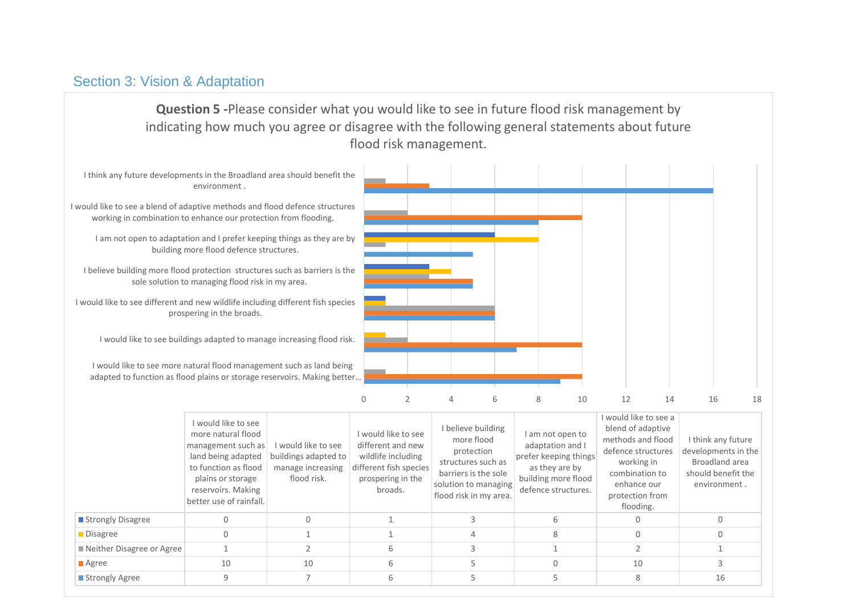# Section 3: Vision & Adaptation

**Question 5 -**Please consider what you would like to see in future flood risk management by indicating how much you agree or disagree with the following general statements about future flood risk management.

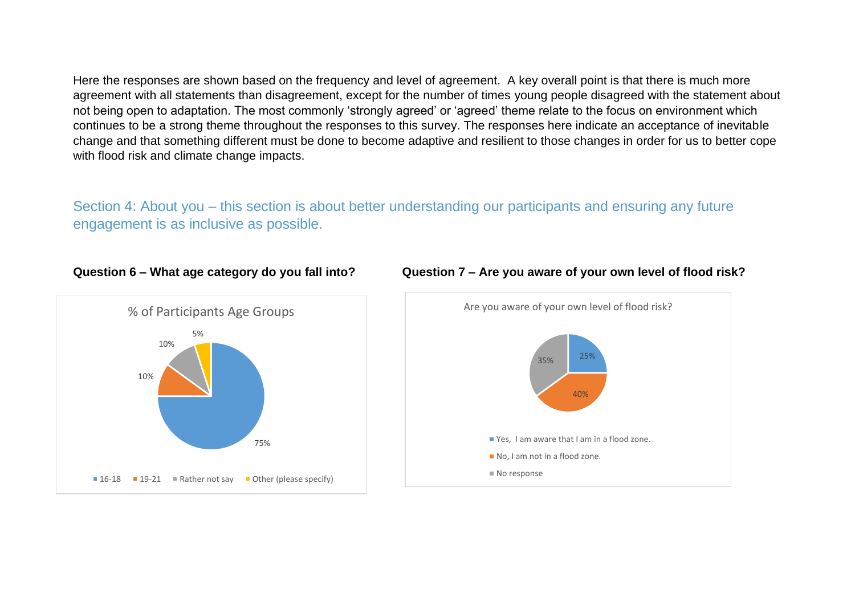Here the responses are shown based on the frequency and level of agreement. A key overall point is that there is much more agreement with all statements than disagreement, except for the number of times young people disagreed with the statement about not being open to adaptation. The most commonly 'strongly agreed' or 'agreed' theme relate to the focus on environment which continues to be a strong theme throughout the responses to this survey. The responses here indicate an acceptance of inevitable change and that something different must be done to become adaptive and resilient to those changes in order for us to better cope with flood risk and climate change impacts.

Section 4: About you – this section is about better understanding our participants and ensuring any future engagement is as inclusive as possible.





#### **Question 6 – What age category do you fall into? Question 7 – Are you aware of your own level of flood risk?**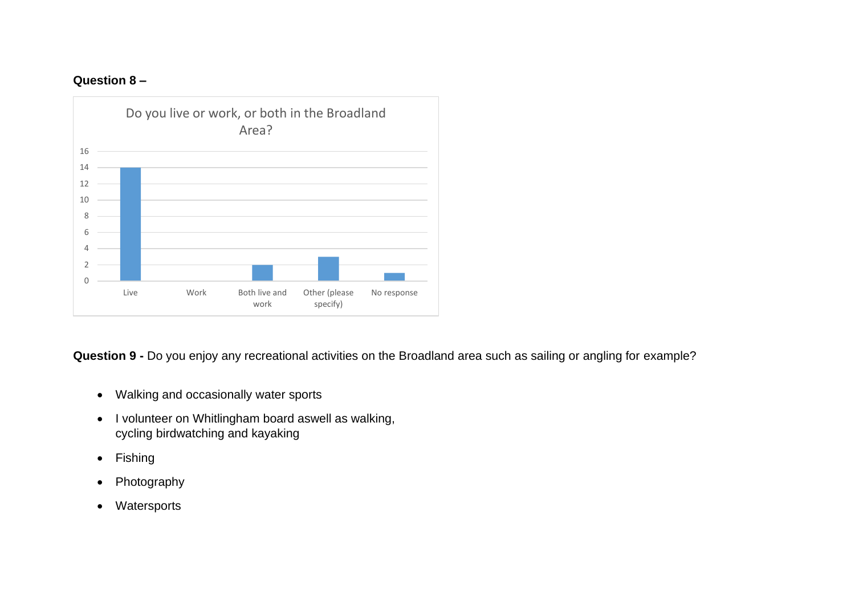# **Question 8 –**



**Question 9 -** Do you enjoy any recreational activities on the Broadland area such as sailing or angling for example?

- Walking and occasionally water sports
- I volunteer on Whitlingham board aswell as walking, cycling birdwatching and kayaking
- Fishing
- Photography
- Watersports